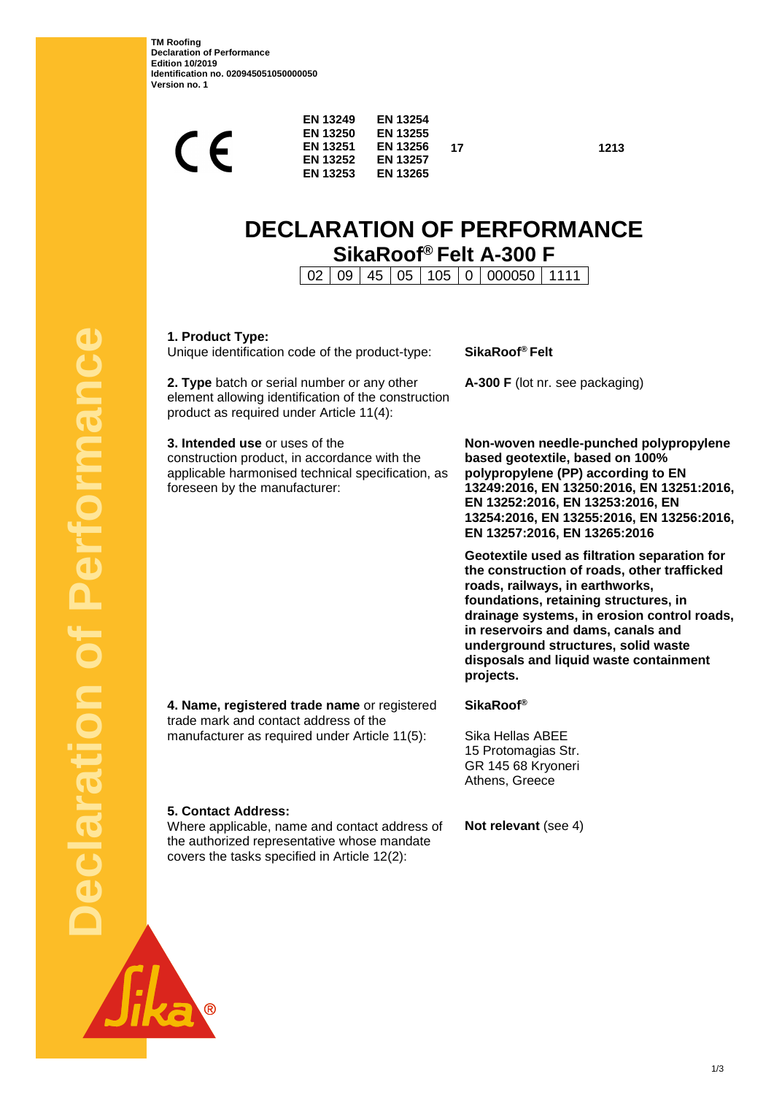**TM Roofing Declaration of Performance Edition 10/2019 Identification no. 020945051050000050 Version no. 1**

|  | <b>EN 13249</b> | <b>EN 13250</b><br><b>EN 13251</b><br><b>EN 13252</b><br><b>EN 13253</b> | <b>EN 13254</b><br><b>EN 13255</b><br><b>EN 13256</b><br><b>EN 13257</b><br><b>EN 13265</b> | 17 |
|--|-----------------|--------------------------------------------------------------------------|---------------------------------------------------------------------------------------------|----|
|--|-----------------|--------------------------------------------------------------------------|---------------------------------------------------------------------------------------------|----|

**17 1213**

# **DECLARATION OF PERFORMANCE SikaRoof® Felt A-300 F**

02 09 45 05 105 0 000050 1111

**1. Product Type:**

**5. Contact Address:**

Unique identification code of the product-type: **SikaRoof® Felt**

**2. Type** batch or serial number or any other element allowing identification of the construction product as required under Article 11(4):

**3. Intended use** or uses of the construction product, in accordance with the applicable harmonised technical specification, as foreseen by the manufacturer:

**A-300 F** (lot nr. see packaging)

**Non-woven needle-punched polypropylene based geotextile, based on 100% polypropylene (PP) according to EN 13249:2016, EN 13250:2016, EN 13251:2016, EN 13252:2016, EN 13253:2016, EN 13254:2016, EN 13255:2016, EN 13256:2016, EN 13257:2016, EN 13265:2016**

**Geotextile used as filtration separation for the construction of roads, other trafficked roads, railways, in earthworks, foundations, retaining structures, in drainage systems, in erosion control roads, in reservoirs and dams, canals and underground structures, solid waste disposals and liquid waste containment projects.**

**4. Name, registered trade name** or registered trade mark and contact address of the manufacturer as required under Article 11(5):

the authorized representative whose mandate covers the tasks specified in Article 12(2):

**SikaRoof®**

Sika Hellas ABEE 15 Protomagias Str. GR 145 68 Kryoneri Athens, Greece

Where applicable, name and contact address of **Not relevant** (see 4)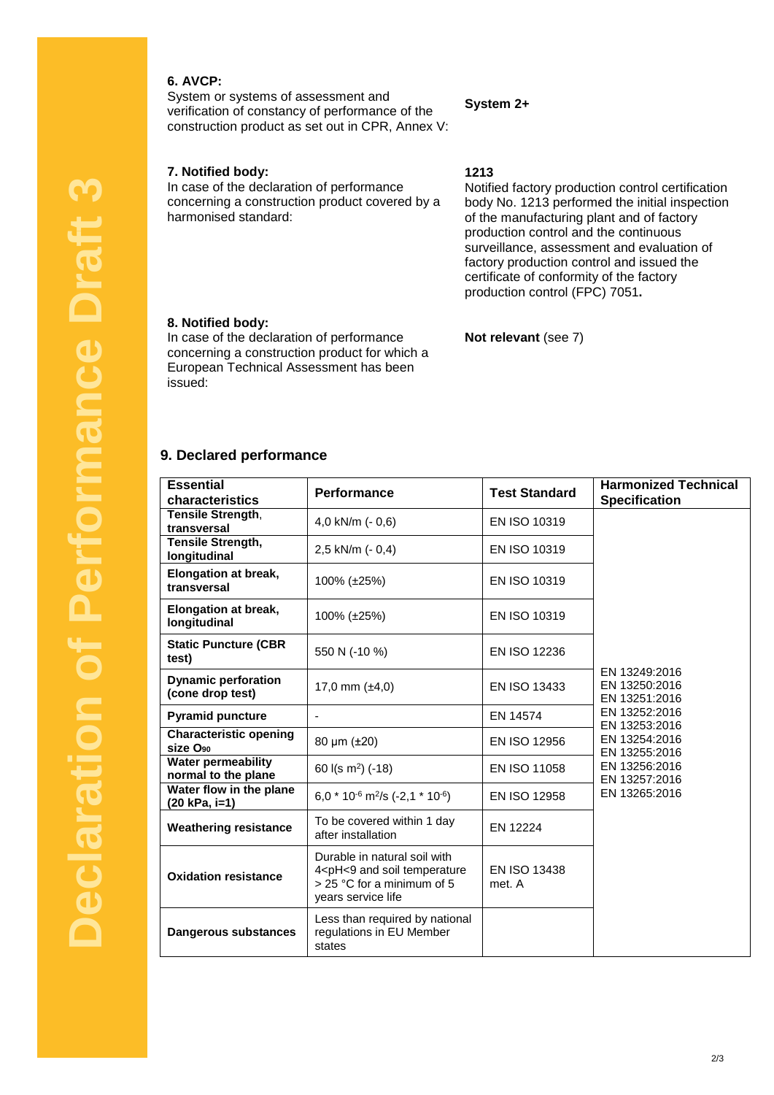## **6. AVCP:**

System or systems of assessment and verification of constancy of performance of the construction product as set out in CPR, Annex V:

#### **7. Notified body:**

In case of the declaration of performance concerning a construction product covered by a harmonised standard:

#### **System 2+**

**1213**

Notified factory production control certification body No. 1213 performed the initial inspection of the manufacturing plant and of factory production control and the continuous surveillance, assessment and evaluation of factory production control and issued the certificate of conformity of the factory production control (FPC) 7051**.**

#### **8. Notified body:**

In case of the declaration of performance concerning a construction product for which a European Technical Assessment has been issued:

## **Not relevant** (see 7)

## **9. Declared performance**

| <b>Essential</b><br>characteristics                   | Performance                                                                                                                                       | <b>Test Standard</b>   | <b>Harmonized Technical</b><br><b>Specification</b> |
|-------------------------------------------------------|---------------------------------------------------------------------------------------------------------------------------------------------------|------------------------|-----------------------------------------------------|
| Tensile Strength,<br>transversal                      | 4,0 kN/m $(-0,6)$                                                                                                                                 | EN ISO 10319           |                                                     |
| Tensile Strength,<br>longitudinal                     | 2,5 kN/m (- 0,4)                                                                                                                                  | EN ISO 10319           |                                                     |
| <b>Elongation at break,</b><br>transversal            | 100% (±25%)                                                                                                                                       | EN ISO 10319           |                                                     |
| <b>Elongation at break,</b><br>longitudinal           | 100% (±25%)                                                                                                                                       | EN ISO 10319           |                                                     |
| <b>Static Puncture (CBR</b><br>test)                  | 550 N (-10 %)                                                                                                                                     | <b>EN ISO 12236</b>    | EN 13249:2016<br>EN 13250:2016<br>EN 13251:2016     |
| <b>Dynamic perforation</b><br>(cone drop test)        | 17,0 mm $(\pm 4, 0)$                                                                                                                              | EN ISO 13433           |                                                     |
| <b>Pyramid puncture</b>                               | $\overline{\phantom{a}}$                                                                                                                          | EN 14574               | EN 13252:2016<br>EN 13253:2016                      |
| <b>Characteristic opening</b><br>size O <sub>90</sub> | 80 $\mu$ m ( $\pm$ 20)                                                                                                                            | EN ISO 12956           | EN 13254:2016<br>EN 13255:2016                      |
| <b>Water permeability</b><br>normal to the plane      | 60 $I(s \, m^2)$ (-18)                                                                                                                            | EN ISO 11058           | EN 13256:2016<br>EN 13257:2016                      |
| Water flow in the plane<br>(20 kPa, i=1)              | 6,0 $*$ 10 <sup>-6</sup> m <sup>2</sup> /s (-2,1 $*$ 10 <sup>-6</sup> )                                                                           | EN ISO 12958           | EN 13265:2016                                       |
| <b>Weathering resistance</b>                          | To be covered within 1 day<br>after installation                                                                                                  | EN 12224               |                                                     |
| <b>Oxidation resistance</b>                           | Durable in natural soil with<br>4 <ph<9 and="" soil="" temperature<br=""><math>&gt;</math> 25 °C for a minimum of 5<br/>years service life</ph<9> | EN ISO 13438<br>met. A |                                                     |
| Dangerous substances                                  | Less than required by national<br>regulations in EU Member<br>states                                                                              |                        |                                                     |